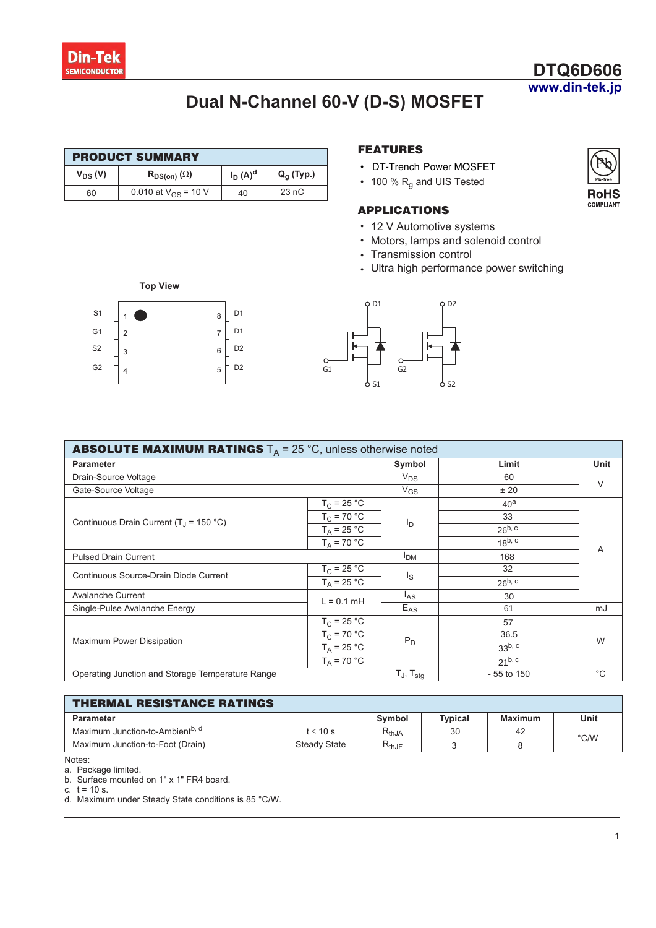

## **DTQ6D606** www.din-tek.jp

# Dual N-Channel 60-V (D-S) MOSFET

| <b>PRODUCT SUMMARY</b> |                          |            |              |  |  |
|------------------------|--------------------------|------------|--------------|--|--|
| $V_{DS} (V)$           | $R_{DS(on)}(\Omega)$     | $I_D(A)^d$ | $Q_q$ (Typ.) |  |  |
| 60                     | 0.010 at $V_{CS}$ = 10 V | 40         | 23 nC        |  |  |

#### **FEATURES**

- DT-Trench Power MOSFET
- 100 %  $R_g$  and UIS Tested

#### **APPLICATIONS**

- 12 V Automotive systems
- Motors, lamps and solenoid control
- Transmission control
- Ultra high performance power switching





| <b>ABSOLUTE MAXIMUM RATINGS</b> $T_A = 25^{\circ}C$ , unless otherwise noted |                          |                 |                    |        |
|------------------------------------------------------------------------------|--------------------------|-----------------|--------------------|--------|
| <b>Parameter</b>                                                             | Symbol                   | Limit           | Unit               |        |
| Drain-Source Voltage                                                         |                          | $V_{DS}$        | 60                 | $\vee$ |
| Gate-Source Voltage                                                          |                          | $V_{GS}$        | ±20                |        |
|                                                                              | $T_{C}$ = 25 °C          |                 | 40 <sup>a</sup>    |        |
| Continuous Drain Current (T <sub>J</sub> = 150 °C)                           | $T_{\rm C}$ = 70 °C      |                 | 33                 |        |
|                                                                              | $T_A = 25 °C$            | ΙD              | $26^{b, c}$        |        |
|                                                                              | $T_A = 70 °C$            |                 | $18^{b, c}$        | A      |
| <b>Pulsed Drain Current</b>                                                  | I <sub>DM</sub>          | 168             |                    |        |
| Continuous Source-Drain Diode Current                                        | $T_C = 25 °C$            | $I_{\rm S}$     | 32                 |        |
|                                                                              | $T_A = 25 °C$            |                 | $26^{b, c}$        |        |
| <b>Avalanche Current</b><br>$L = 0.1$ mH                                     |                          | <sup>I</sup> AS | 30                 |        |
| Single-Pulse Avalanche Energy                                                |                          | $E_{AS}$        | 61                 | mJ     |
|                                                                              | $T_C = 25 °C$            |                 | 57                 |        |
| Maximum Power Dissipation                                                    | $T_C$ = 70 °C            | $P_D$           | 36.5               | W      |
|                                                                              | $T_A$ = 25 °C            |                 | 33 <sup>b, c</sup> |        |
|                                                                              | $T_A$ = 70 °C            |                 | $21^{b, c}$        |        |
| Operating Junction and Storage Temperature Range                             | $T_J$ , $T_{\text{stq}}$ | $-55$ to 150    | $^{\circ}C$        |        |

| <b>THERMAL RESISTANCE RATINGS</b>           |                     |                              |         |         |      |  |  |
|---------------------------------------------|---------------------|------------------------------|---------|---------|------|--|--|
| <b>Parameter</b>                            |                     | Symbol                       | Tvpical | Maximum | Unit |  |  |
| Maximum Junction-to-Ambient <sup>b, a</sup> | t < 10 s            | $\mathsf{r}_{\mathsf{thJA}}$ | 30      | 42      | °C/W |  |  |
| Maximum Junction-to-Foot (Drain)            | <b>Steady State</b> | $\mathsf{R}_{\mathsf{thJF}}$ |         |         |      |  |  |

Notes:

a. Package limited. b. Surface mounted on 1" x 1" FR4 board.

c.  $t = 10$  s.

d. Maximum under Steady State conditions is 85 °C/W.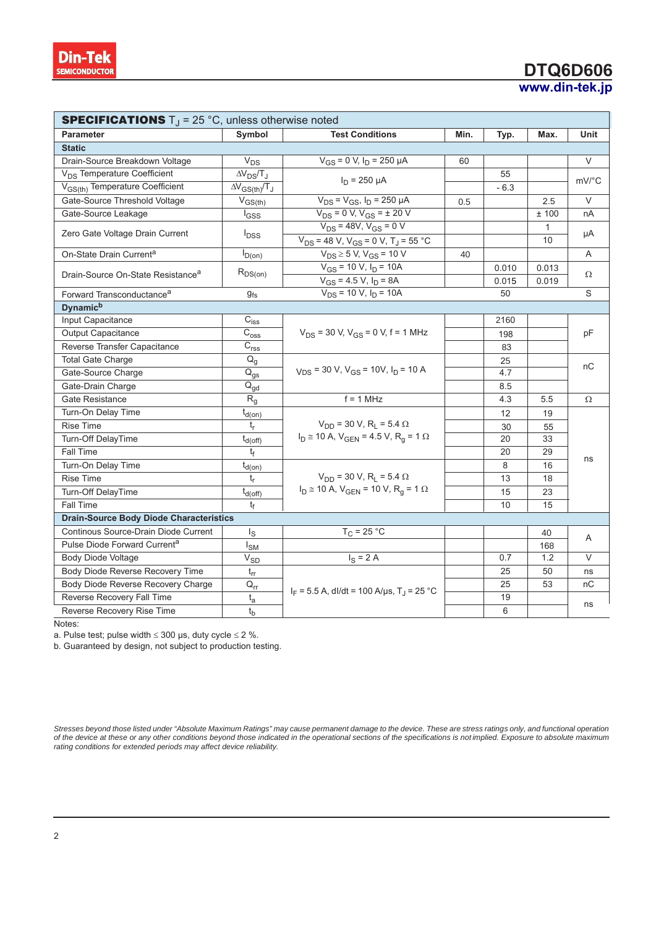

## **DTQ6D606** www.din-tek.jp

| <b>SPECIFICATIONS</b> $T_{\text{J}}$ = 25 °C, unless otherwise noted |                                     |                                                                |      |        |              |                       |  |
|----------------------------------------------------------------------|-------------------------------------|----------------------------------------------------------------|------|--------|--------------|-----------------------|--|
| <b>Parameter</b>                                                     | Symbol                              | <b>Test Conditions</b>                                         | Min. | Typ.   | Max.         | Unit                  |  |
| <b>Static</b>                                                        |                                     |                                                                |      |        |              |                       |  |
| Drain-Source Breakdown Voltage                                       | $V_{DS}$                            | $V_{GS}$ = 0 V, I <sub>D</sub> = 250 µA                        | 60   |        |              | $\vee$                |  |
| V <sub>DS</sub> Temperature Coefficient                              | $\Delta V_{DS}/T_J$                 | $I_D = 250 \mu A$                                              |      | 55     |              |                       |  |
| V <sub>GS(th)</sub> Temperature Coefficient                          | $\Delta V_{GS(th)}/T_J$             |                                                                |      | $-6.3$ |              | $mV$ <sup>o</sup> $C$ |  |
| Gate-Source Threshold Voltage                                        | $V_{GS(th)}$                        | $V_{DS} = V_{GS}$ , $I_D = 250 \mu A$                          | 0.5  |        | 2.5          | $\vee$                |  |
| Gate-Source Leakage                                                  | <sup>I</sup> GSS                    | $V_{DS}$ = 0 V, $V_{GS}$ = $\pm$ 20 V                          |      |        | ± 100        | nA                    |  |
|                                                                      |                                     | $V_{DS}$ = 48V, $V_{GS}$ = 0 V                                 |      |        | $\mathbf{1}$ |                       |  |
| Zero Gate Voltage Drain Current                                      | $I_{DSS}$                           | $V_{DS}$ = 48 V, V <sub>GS</sub> = 0 V, T <sub>J</sub> = 55 °C |      |        | 10           | μA                    |  |
| On-State Drain Current <sup>a</sup>                                  | $I_{D(0n)}$                         | $V_{DS} \ge 5$ V, $V_{GS} = 10$ V                              | 40   |        |              | A                     |  |
|                                                                      | $R_{DS(on)}$                        | $V_{GS}$ = 10 V, $I_D$ = 10A                                   |      | 0.010  | 0.013        |                       |  |
| Drain-Source On-State Resistance <sup>a</sup>                        |                                     | $V_{GS}$ = 4.5 V, $I_D$ = 8A                                   |      | 0.015  | 0.019        | Ω                     |  |
| Forward Transconductance <sup>a</sup>                                | $g_{fs}$                            | $V_{DS}$ = 10 V, $I_D$ = 10A                                   |      | 50     |              | S                     |  |
| <b>Dynamic</b> <sup>b</sup>                                          |                                     |                                                                |      |        |              |                       |  |
| Input Capacitance                                                    | $C_{\text{iss}}$                    |                                                                |      | 2160   |              |                       |  |
| <b>Output Capacitance</b>                                            | $\overline{C}_{\text{oss}}$         | $V_{DS}$ = 30 V, $V_{GS}$ = 0 V, f = 1 MHz                     |      | 198    |              | pF                    |  |
| Reverse Transfer Capacitance                                         | $C_{rss}$                           |                                                                |      | 83     |              |                       |  |
| <b>Total Gate Charge</b>                                             | $Q_g$                               |                                                                |      | 25     |              | nC                    |  |
| Gate-Source Charge                                                   | $\overline{\mathsf{Q}}_{\text{gs}}$ | $V_{DS}$ = 30 V, $V_{GS}$ = 10V, $I_D$ = 10 A                  |      | 4.7    |              |                       |  |
| Gate-Drain Charge                                                    | $Q_{gd}$                            |                                                                |      | 8.5    |              |                       |  |
| Gate Resistance                                                      | $R_g$                               | $f = 1$ MHz                                                    |      | 4.3    | 5.5          | $\Omega$              |  |
| Turn-On Delay Time                                                   | $t_{d(on)}$                         |                                                                |      | 12     | 19           |                       |  |
| <b>Rise Time</b>                                                     | t,                                  | $V_{DD}$ = 30 V, R <sub>1</sub> = 5.4 $\Omega$                 |      | 30     | 55           |                       |  |
| Turn-Off DelayTime                                                   | $t_{d(\text{off})}$                 | $I_D \cong 10$ A, $V_{GEN} = 4.5$ V, $R_q = 1$ $\Omega$        |      | 20     | 33           |                       |  |
| Fall Time                                                            | tғ                                  |                                                                |      | 20     | 29           |                       |  |
| Turn-On Delay Time                                                   | $t_{d(0n)}$                         |                                                                |      | 8      | 16           | ns                    |  |
| <b>Rise Time</b>                                                     | $t_{r}$                             | $V_{DD}$ = 30 V, R <sub>1</sub> = 5.4 $\Omega$                 |      | 13     | 18           |                       |  |
| Turn-Off DelayTime                                                   | $t_{d(\text{off})}$                 | $I_D \cong 10$ A, $V_{GEN} = 10$ V, $R_q = 1$ $\Omega$         |      | 15     | 23           |                       |  |
| Fall Time                                                            | tғ                                  |                                                                |      | 10     | 15           |                       |  |
| <b>Drain-Source Body Diode Characteristics</b>                       |                                     |                                                                |      |        |              |                       |  |
| Continous Source-Drain Diode Current                                 | $I_{\rm S}$                         | $T_C = 25 °C$                                                  |      |        | 40           | A                     |  |
| Pulse Diode Forward Current <sup>a</sup>                             | $I_{SM}$                            |                                                                |      |        | 168          |                       |  |
| Body Diode Voltage                                                   | $V_{SD}$                            | $I_S = 2 A$                                                    |      | 0.7    | 1.2          | $\vee$                |  |
| Body Diode Reverse Recovery Time                                     | $t_{rr}$                            |                                                                |      | 25     | 50           | ns                    |  |
| Body Diode Reverse Recovery Charge                                   | $Q_{rr}$                            | $I_F = 5.5$ A, dl/dt = 100 A/µs, T <sub>J</sub> = 25 °C        |      | 25     | 53           | пC                    |  |
| Reverse Recovery Fall Time                                           | $t_{a}$                             |                                                                |      | 19     |              |                       |  |
| Reverse Recovery Rise Time                                           | th                                  |                                                                |      | 6      |              | ns                    |  |

Notes:

a. Pulse test; pulse width  $\leq 300$  µs, duty cycle  $\leq 2$  %.

b. Guaranteed by design, not subject to production testing.

Stresses beyond those listed under "Absolute Maximum Ratings" may cause permanent damage to the device. These are stress ratings only, and functional operation<br>of the device at these or any other conditions beyond those in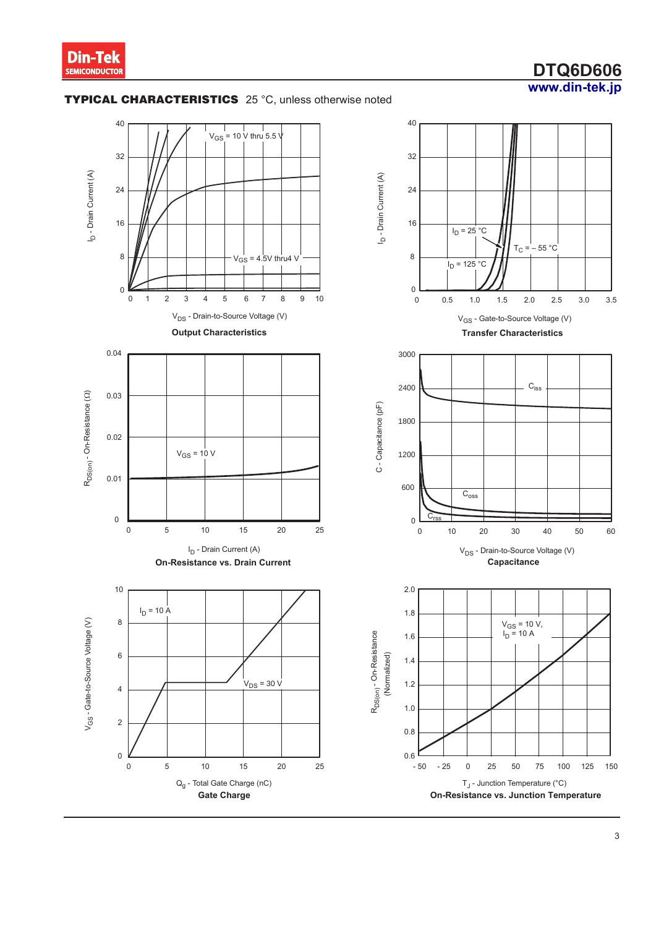

## **DTQ6D606** www.din-tek.jp

### **TYPICAL CHARACTERISTICS** 25 °C, unless otherwise noted

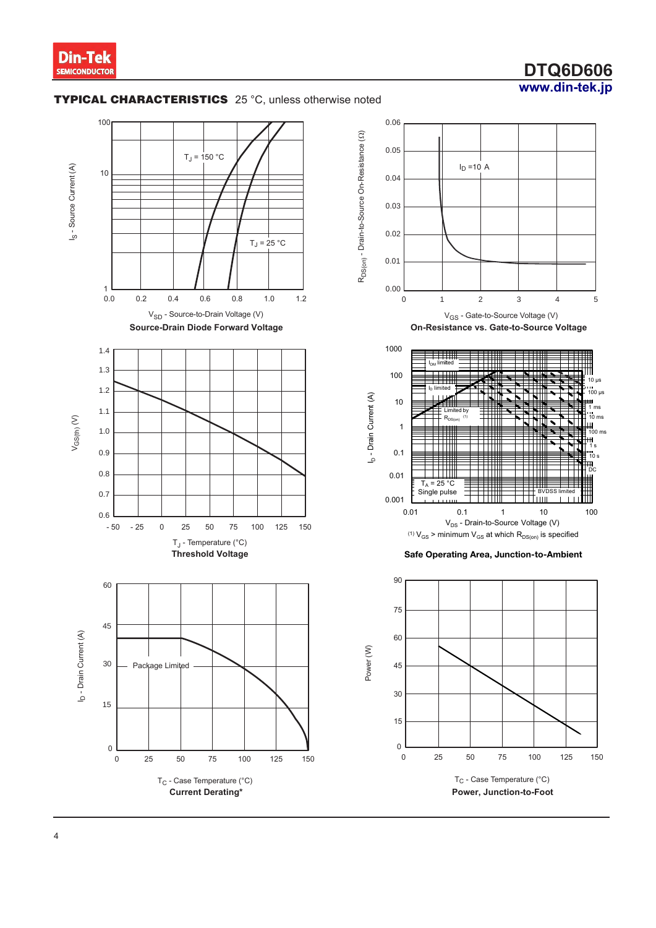### **'74D606 www.din-tek.jp**

### **TYPICAL CHARACTERISTICS** 25 °C, unless otherwise noted

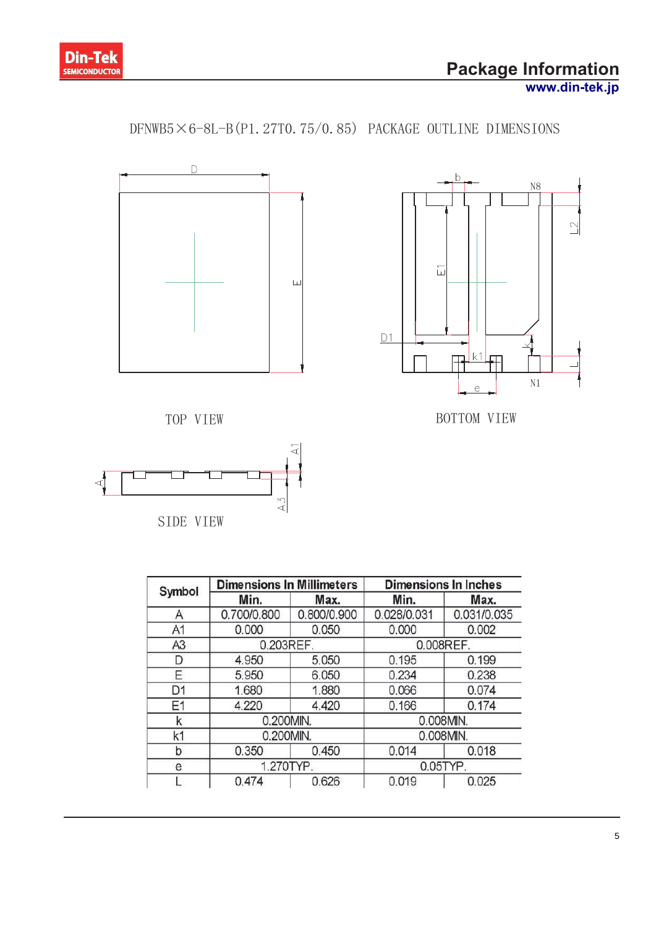

N8

 $N1$ 

 $\frac{1}{2}$ 



DFNWB5 $\times$ 6-8L-B(P1.27T0.75/0.85) PACKAGE OUTLINE DIMENSIONS



SIDE VIEW

| Symbol         | <b>Dimensions In Millimeters</b> |             | <b>Dimensions In Inches</b> |             |  |
|----------------|----------------------------------|-------------|-----------------------------|-------------|--|
|                | Min.                             | Max.        | Min.                        | Max.        |  |
| Α              | 0.700/0.800                      | 0.800/0.900 | 0.028/0.031                 | 0.031/0.035 |  |
| A1             | 0.000                            | 0.050       | 0.000                       | 0.002       |  |
| A3             | 0.203REF.                        |             |                             | 0.008REF.   |  |
| D              | 4.950                            | 5.050       | 0.195                       | 0.199       |  |
| E              | 5.950                            | 6.050       | 0.234                       | 0.238       |  |
| D <sub>1</sub> | 1.680                            | 1.880       | 0.066                       | 0.074       |  |
| E1             | 4.220                            | 4.420       | 0.166                       | 0.174       |  |
| k              | 0.200MIN.                        |             | 0.008MIN.                   |             |  |
| k1             | 0.200MIN.                        |             | 0.008MIN.                   |             |  |
| b              | 0.350                            | 0.450       | 0.014                       | 0.018       |  |
| e              |                                  | 1.270TYP.   |                             | 0.05TYP.    |  |
|                | 0.474                            | 0.626       | 0.019                       | 0.025       |  |